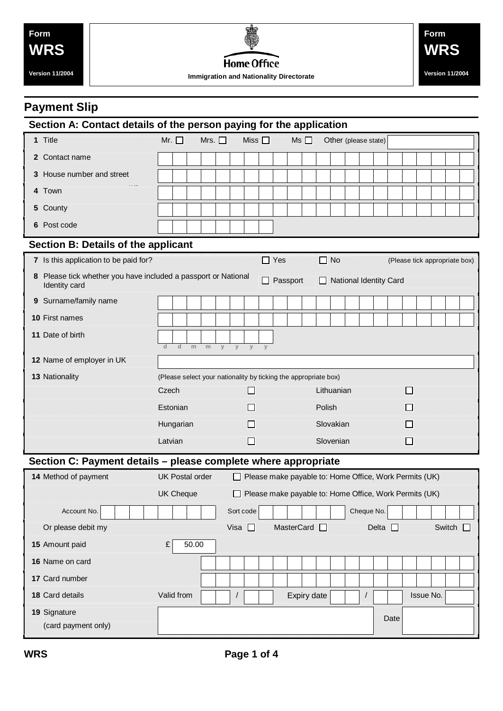# **Payment Slip**

| Section A: Contact details of the person paying for the application |                                                                               |                                                                                         |   |   |                |           |   |                      |                         |  |            |           |  |  |                               |  |              |  |  |                  |                               |
|---------------------------------------------------------------------|-------------------------------------------------------------------------------|-----------------------------------------------------------------------------------------|---|---|----------------|-----------|---|----------------------|-------------------------|--|------------|-----------|--|--|-------------------------------|--|--------------|--|--|------------------|-------------------------------|
|                                                                     | 1 Title                                                                       | Mr.<br>Mrs. $\square$<br>Miss $\square$                                                 |   |   | $Ms$ $\Box$    |           |   | Other (please state) |                         |  |            |           |  |  |                               |  |              |  |  |                  |                               |
| $\mathbf{2}$                                                        | Contact name                                                                  |                                                                                         |   |   |                |           |   |                      |                         |  |            |           |  |  |                               |  |              |  |  |                  |                               |
| 3                                                                   | House number and street                                                       |                                                                                         |   |   |                |           |   |                      |                         |  |            |           |  |  |                               |  |              |  |  |                  |                               |
|                                                                     | 4 Town                                                                        |                                                                                         |   |   |                |           |   |                      |                         |  |            |           |  |  |                               |  |              |  |  |                  |                               |
| 5                                                                   | County                                                                        |                                                                                         |   |   |                |           |   |                      |                         |  |            |           |  |  |                               |  |              |  |  |                  |                               |
|                                                                     | 6 Post code                                                                   |                                                                                         |   |   |                |           |   |                      |                         |  |            |           |  |  |                               |  |              |  |  |                  |                               |
| <b>Section B: Details of the applicant</b>                          |                                                                               |                                                                                         |   |   |                |           |   |                      |                         |  |            |           |  |  |                               |  |              |  |  |                  |                               |
|                                                                     | 7 Is this application to be paid for?                                         |                                                                                         |   |   |                |           |   | $\Box$ Yes           |                         |  | $\Box$     | <b>No</b> |  |  |                               |  |              |  |  |                  | (Please tick appropriate box) |
| 8                                                                   | Please tick whether you have included a passport or National<br>Identity card |                                                                                         |   |   |                |           |   |                      | Passport                |  | $\Box$     |           |  |  | <b>National Identity Card</b> |  |              |  |  |                  |                               |
|                                                                     | 9 Surname/family name                                                         |                                                                                         |   |   |                |           |   |                      |                         |  |            |           |  |  |                               |  |              |  |  |                  |                               |
|                                                                     | <b>10 First names</b>                                                         |                                                                                         |   |   |                |           |   |                      |                         |  |            |           |  |  |                               |  |              |  |  |                  |                               |
|                                                                     | 11 Date of birth                                                              | d<br>d<br>m                                                                             | m | y | y              | y         | y |                      |                         |  |            |           |  |  |                               |  |              |  |  |                  |                               |
|                                                                     | 12 Name of employer in UK                                                     |                                                                                         |   |   |                |           |   |                      |                         |  |            |           |  |  |                               |  |              |  |  |                  |                               |
|                                                                     | 13 Nationality                                                                | (Please select your nationality by ticking the appropriate box)                         |   |   |                |           |   |                      |                         |  |            |           |  |  |                               |  |              |  |  |                  |                               |
|                                                                     |                                                                               | Czech                                                                                   |   |   |                | $\sqcup$  |   |                      |                         |  | Lithuanian |           |  |  |                               |  | $\Box$       |  |  |                  |                               |
|                                                                     |                                                                               | Estonian                                                                                |   |   |                | l 1       |   |                      |                         |  | Polish     |           |  |  |                               |  | ΙI           |  |  |                  |                               |
|                                                                     |                                                                               | Hungarian                                                                               |   |   |                | П         |   |                      |                         |  | Slovakian  |           |  |  |                               |  | $\mathsf{L}$ |  |  |                  |                               |
|                                                                     |                                                                               | Latvian                                                                                 |   |   |                | $\Box$    |   |                      |                         |  | Slovenian  |           |  |  |                               |  | $\Box$       |  |  |                  |                               |
| Section C: Payment details – please complete where appropriate      |                                                                               |                                                                                         |   |   |                |           |   |                      |                         |  |            |           |  |  |                               |  |              |  |  |                  |                               |
|                                                                     | 14 Method of payment                                                          | <b>UK Postal order</b><br>$\Box$ Please make payable to: Home Office, Work Permits (UK) |   |   |                |           |   |                      |                         |  |            |           |  |  |                               |  |              |  |  |                  |                               |
|                                                                     |                                                                               | <b>UK Cheque</b><br>Please make payable to: Home Office, Work Permits (UK)              |   |   |                |           |   |                      |                         |  |            |           |  |  |                               |  |              |  |  |                  |                               |
|                                                                     | Account No.                                                                   |                                                                                         |   |   |                | Sort code |   |                      |                         |  |            |           |  |  | Cheque No.                    |  |              |  |  |                  |                               |
|                                                                     | Or please debit my                                                            |                                                                                         |   |   | Visa $\square$ |           |   |                      | MasterCard <sup>1</sup> |  |            |           |  |  | Delta $\square$               |  |              |  |  | Switch $\square$ |                               |
|                                                                     | 15 Amount paid                                                                | 50.00<br>£                                                                              |   |   |                |           |   |                      |                         |  |            |           |  |  |                               |  |              |  |  |                  |                               |
|                                                                     | 16 Name on card                                                               |                                                                                         |   |   |                |           |   |                      |                         |  |            |           |  |  |                               |  |              |  |  |                  |                               |
|                                                                     | 17 Card number                                                                |                                                                                         |   |   |                |           |   |                      |                         |  |            |           |  |  |                               |  |              |  |  |                  |                               |

**19** Signature

(card payment only)

Date

**18** Card details **18** Card details **Valid from**  $\boxed{\phantom{a}}$  **/**  $\boxed{\phantom{a}}$  **/ Expiry date**  $\boxed{\phantom{a}}$  **/**  $\boxed{\phantom{a}}$  **Issue No.**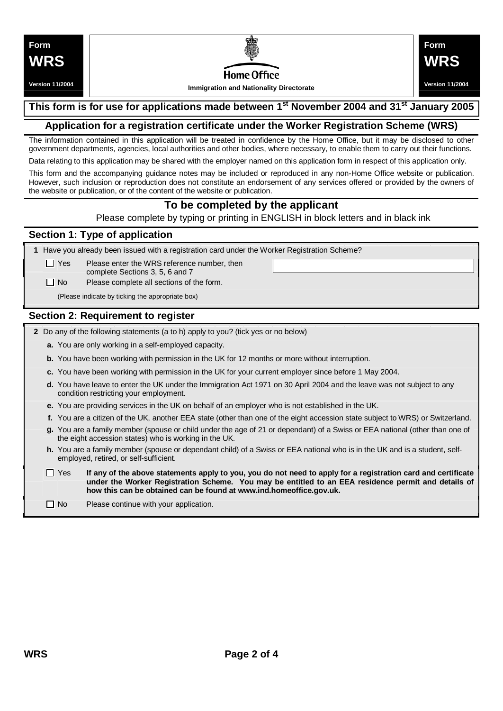**Version 11/2004**



# Home Office

**Immigration and Nationality Directorate** 



### **This form is for use for applications made between 1st November 2004 and 31st January 2005**

#### **Application for a registration certificate under the Worker Registration Scheme (WRS)**

The information contained in this application will be treated in confidence by the Home Office, but it may be disclosed to other government departments, agencies, local authorities and other bodies, where necessary, to enable them to carry out their functions.

Data relating to this application may be shared with the employer named on this application form in respect of this application only.

This form and the accompanying guidance notes may be included or reproduced in any non-Home Office website or publication. However, such inclusion or reproduction does not constitute an endorsement of any services offered or provided by the owners of the website or publication, or of the content of the website or publication.

# **To be completed by the applicant**

Please complete by typing or printing in ENGLISH in block letters and in black ink

#### **Section 1: Type of application**

**1** Have you already been issued with a registration card under the Worker Registration Scheme?

 $\Box$  Yes Please enter the WRS reference number, then

complete Sections 3, 5, 6 and 7

 $\Box$  No Please complete all sections of the form.

(Please indicate by ticking the appropriate box)

#### **Section 2: Requirement to register**

- **2** Do any of the following statements (a to h) apply to you? (tick yes or no below)
	- **a.** You are only working in a self-employed capacity.
	- **b.** You have been working with permission in the UK for 12 months or more without interruption.
	- **c.** You have been working with permission in the UK for your current employer since before 1 May 2004.
	- **d.** You have leave to enter the UK under the Immigration Act 1971 on 30 April 2004 and the leave was not subject to any condition restricting your employment.
	- **e.** You are providing services in the UK on behalf of an employer who is not established in the UK.
	- **f.** You are a citizen of the UK, another EEA state (other than one of the eight accession state subject to WRS) or Switzerland.
	- **g.** You are a family member (spouse or child under the age of 21 or dependant) of a Swiss or EEA national (other than one of the eight accession states) who is working in the UK.
	- **h.** You are a family member (spouse or dependant child) of a Swiss or EEA national who is in the UK and is a student, selfemployed, retired, or self-sufficient.
	- $\Box$  Yes If any of the above statements apply to you, you do not need to apply for a registration card and certificate **under the Worker Registration Scheme. You may be entitled to an EEA residence permit and details of how this can be obtained can be found at [www.ind.homeoffice.gov.uk.](http://www.ind.homeoffice.gov.uk)**
	- $\Box$  No Please continue with your application.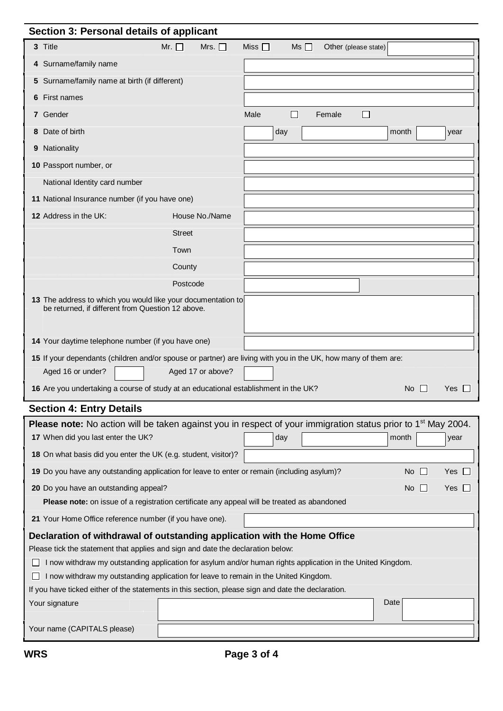| Section 3: Personal details of applicant                                                                                                                        |                           |           |                            |                    |            |  |  |  |
|-----------------------------------------------------------------------------------------------------------------------------------------------------------------|---------------------------|-----------|----------------------------|--------------------|------------|--|--|--|
| 3 Title                                                                                                                                                         | Mr. $\Box$<br>Mrs. $\Box$ | Miss I I  | Ms<br>Other (please state) |                    |            |  |  |  |
| 4 Surname/family name                                                                                                                                           |                           |           |                            |                    |            |  |  |  |
| Surname/family name at birth (if different)<br>5                                                                                                                |                           |           |                            |                    |            |  |  |  |
| First names<br>6                                                                                                                                                |                           |           |                            |                    |            |  |  |  |
| 7 Gender                                                                                                                                                        |                           | Male<br>□ | Female<br>$\Box$           |                    |            |  |  |  |
| Date of birth<br>8                                                                                                                                              |                           | day       |                            | month              | year       |  |  |  |
| Nationality<br>9                                                                                                                                                |                           |           |                            |                    |            |  |  |  |
| 10 Passport number, or                                                                                                                                          |                           |           |                            |                    |            |  |  |  |
| National Identity card number                                                                                                                                   |                           |           |                            |                    |            |  |  |  |
| 11 National Insurance number (if you have one)                                                                                                                  |                           |           |                            |                    |            |  |  |  |
| 12 Address in the UK:                                                                                                                                           | House No./Name            |           |                            |                    |            |  |  |  |
|                                                                                                                                                                 | <b>Street</b>             |           |                            |                    |            |  |  |  |
|                                                                                                                                                                 | Town                      |           |                            |                    |            |  |  |  |
|                                                                                                                                                                 | County                    |           |                            |                    |            |  |  |  |
|                                                                                                                                                                 | Postcode                  |           |                            |                    |            |  |  |  |
| 13 The address to which you would like your documentation to<br>be returned, if different from Question 12 above.                                               |                           |           |                            |                    |            |  |  |  |
| 14 Your daytime telephone number (if you have one)                                                                                                              |                           |           |                            |                    |            |  |  |  |
| 15 If your dependants (children and/or spouse or partner) are living with you in the UK, how many of them are:                                                  |                           |           |                            |                    |            |  |  |  |
| Aged 16 or under?                                                                                                                                               | Aged 17 or above?         |           |                            |                    |            |  |  |  |
| 16 Are you undertaking a course of study at an educational establishment in the UK?                                                                             |                           |           |                            | $No$ $\Box$        | Yes        |  |  |  |
| <b>Section 4: Entry Details</b>                                                                                                                                 |                           |           |                            |                    |            |  |  |  |
| Please note: No action will be taken against you in respect of your immigration status prior to 1 <sup>st</sup> May 2004.<br>17 When did you last enter the UK? |                           | day       |                            | month              | year       |  |  |  |
| 18 On what basis did you enter the UK (e.g. student, visitor)?                                                                                                  |                           |           |                            |                    |            |  |  |  |
| 19 Do you have any outstanding application for leave to enter or remain (including asylum)?                                                                     |                           |           |                            | No.<br>$\perp$     | Yes        |  |  |  |
|                                                                                                                                                                 |                           |           |                            |                    |            |  |  |  |
| 20 Do you have an outstanding appeal?<br>Please note: on issue of a registration certificate any appeal will be treated as abandoned                            |                           |           |                            | No<br>$\mathbf{L}$ | Yes $\Box$ |  |  |  |
| 21 Your Home Office reference number (if you have one).                                                                                                         |                           |           |                            |                    |            |  |  |  |
| Declaration of withdrawal of outstanding application with the Home Office                                                                                       |                           |           |                            |                    |            |  |  |  |
| Please tick the statement that applies and sign and date the declaration below:                                                                                 |                           |           |                            |                    |            |  |  |  |
| I now withdraw my outstanding application for asylum and/or human rights application in the United Kingdom.                                                     |                           |           |                            |                    |            |  |  |  |
| I now withdraw my outstanding application for leave to remain in the United Kingdom.                                                                            |                           |           |                            |                    |            |  |  |  |
| If you have ticked either of the statements in this section, please sign and date the declaration.                                                              |                           |           |                            |                    |            |  |  |  |
| Your signature                                                                                                                                                  |                           |           |                            | Date               |            |  |  |  |
| Your name (CAPITALS please)                                                                                                                                     |                           |           |                            |                    |            |  |  |  |
|                                                                                                                                                                 |                           |           |                            |                    |            |  |  |  |